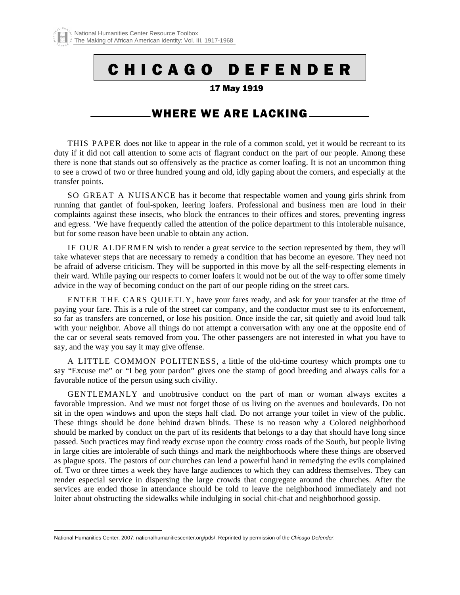# C H I C A G O D E F E N D E R

#### 17 May 1919

## WHERE WE ARE LACKING

THIS PAPER does not like to appear in the role of a common scold, yet it would be recreant to its duty if it did not call attention to some acts of flagrant conduct on the part of our people. Among these there is none that stands out so offensively as the practice as corner loafing. It is not an uncommon thing to see a crowd of two or three hundred young and old, idly gaping about the corners, and especially at the transfer points.

SO GREAT A NUISANCE has it become that respectable women and young girls shrink from running that gantlet of foul-spoken, leering loafers. Professional and business men are loud in their complaints against these insects, who block the entrances to their offices and stores, preventing ingress and egress. 'We have frequently called the attention of the police department to this intolerable nuisance, but for some reason have been unable to obtain any action.

IF OUR ALDERMEN wish to render a great service to the section represented by them, they will take whatever steps that are necessary to remedy a condition that has become an eyesore. They need not be afraid of adverse criticism. They will be supported in this move by all the self-respecting elements in their ward. While paying our respects to corner loafers it would not be out of the way to offer some timely advice in the way of becoming conduct on the part of our people riding on the street cars.

ENTER THE CARS QUIETLY, have your fares ready, and ask for your transfer at the time of paying your fare. This is a rule of the street car company, and the conductor must see to its enforcement, so far as transfers are concerned, or lose his position. Once inside the car, sit quietly and avoid loud talk with your neighbor. Above all things do not attempt a conversation with any one at the opposite end of the car or several seats removed from you. The other passengers are not interested in what you have to say, and the way you say it may give offense.

A LITTLE COMMON POLITENESS, a little of the old-time courtesy which prompts one to say "Excuse me" or "I beg your pardon" gives one the stamp of good breeding and always calls for a favorable notice of the person using such civility.

GENTLEMANLY and unobtrusive conduct on the part of man or woman always excites a favorable impression. And we must not forget those of us living on the avenues and boulevards. Do not sit in the open windows and upon the steps half clad. Do not arrange your toilet in view of the public. These things should be done behind drawn blinds. These is no reason why a Colored neighborhood should be marked by conduct on the part of its residents that belongs to a day that should have long since passed. Such practices may find ready excuse upon the country cross roads of the South, but people living in large cities are intolerable of such things and mark the neighborhoods where these things are observed as plague spots. The pastors of our churches can lend a powerful hand in remedying the evils complained of. Two or three times a week they have large audiences to which they can address themselves. They can render especial service in dispersing the large crowds that congregate around the churches. After the services are ended those in attendance should be told to leave the neighborhood immediately and not loiter about obstructing the sidewalks while indulging in social chit-chat and neighborhood gossip.

 $\overline{a}$ 

<span id="page-0-0"></span>National Humanities Center, 2007: nationalhumanitiescenter.org/pds/. Reprinted by permission of the *Chicago Defender*.